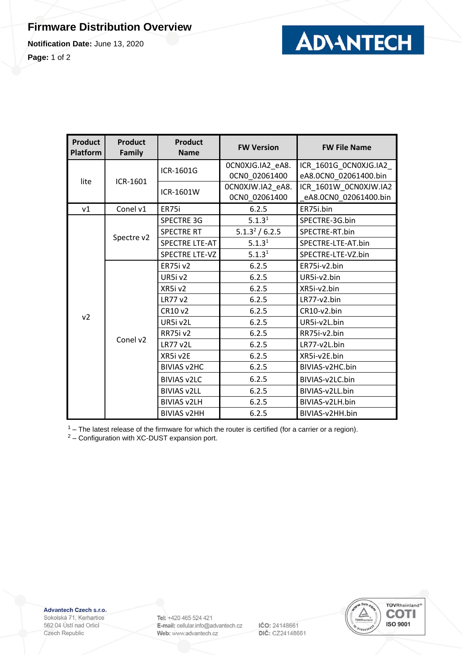## **Firmware Distribution Overview**

**Notification Date:** June 13, 2020

**Page:** 1 of 2



| <b>Product</b><br><b>Platform</b> | <b>Product</b><br><b>Family</b> | <b>Product</b><br><b>Name</b> | <b>FW Version</b>          | <b>FW File Name</b>   |
|-----------------------------------|---------------------------------|-------------------------------|----------------------------|-----------------------|
| lite                              | ICR-1601                        | ICR-1601G                     | OCNOXJG.IA2_eA8.           | ICR_1601G_0CN0XJG.IA2 |
|                                   |                                 |                               | OCNO 02061400              | eA8.0CN0 02061400.bin |
|                                   |                                 | ICR-1601W                     | 0CN0XJW.IA2_eA8.           | ICR_1601W_0CN0XJW.IA2 |
|                                   |                                 |                               | 0CN0_02061400              | eA8.0CN0_02061400.bin |
| v1                                | Conel v1                        | ER75i                         | 6.2.5                      | ER75i.bin             |
|                                   | Spectre v2                      | <b>SPECTRE 3G</b>             | 5.1.3 <sup>1</sup>         | SPECTRE-3G.bin        |
|                                   |                                 | <b>SPECTRE RT</b>             | 5.1.3 <sup>2</sup> / 6.2.5 | SPECTRE-RT.bin        |
|                                   |                                 | <b>SPECTRE LTE-AT</b>         | 5.1.3 <sup>1</sup>         | SPECTRE-LTE-AT.bin    |
|                                   |                                 | <b>SPECTRE LTE-VZ</b>         | 5.1.3 <sup>1</sup>         | SPECTRE-LTE-VZ.bin    |
|                                   | Conel v2                        | <b>ER75i v2</b>               | 6.2.5                      | ER75i-v2.bin          |
|                                   |                                 | UR5iv2                        | 6.2.5                      | UR5i-v2.bin           |
|                                   |                                 | XR5iv2                        | 6.2.5                      | XR5i-v2.bin           |
|                                   |                                 | <b>LR77 v2</b>                | 6.2.5                      | LR77-v2.bin           |
|                                   |                                 | CR10 v2                       | 6.2.5                      | CR10-v2.bin           |
| v <sub>2</sub>                    |                                 | UR5i v2L                      | 6.2.5                      | UR5i-v2L.bin          |
|                                   |                                 | <b>RR75i v2</b>               | 6.2.5                      | RR75i-v2.bin          |
|                                   |                                 | <b>LR77 v2L</b>               | 6.2.5                      | LR77-v2L.bin          |
|                                   |                                 | XR5i v2E                      | 6.2.5                      | XR5i-v2E.bin          |
|                                   |                                 | <b>BIVIAS v2HC</b>            | 6.2.5                      | BIVIAS-v2HC.bin       |
|                                   |                                 | <b>BIVIAS v2LC</b>            | 6.2.5                      | BIVIAS-v2LC.bin       |
|                                   |                                 | <b>BIVIAS v2LL</b>            | 6.2.5                      | BIVIAS-v2LL.bin       |
|                                   |                                 | <b>BIVIAS v2LH</b>            | 6.2.5                      | BIVIAS-v2LH.bin       |
|                                   |                                 | <b>BIVIAS v2HH</b>            | 6.2.5                      | BIVIAS-v2HH.bin       |

 $1 -$  The latest release of the firmware for which the router is certified (for a carrier or a region).

<sup>2</sup> – Configuration with XC-DUST expansion port.

Advantech Czech s.r.o.

Sokolská 71, Kerhartice 562 04 Ústí nad Orlicí Czech Republic

Tel: +420 465 524 421 E-mail: cellular.info@advantech.cz Web: www.advantech.cz

IČO: 24148661 DIČ: CZ24148661